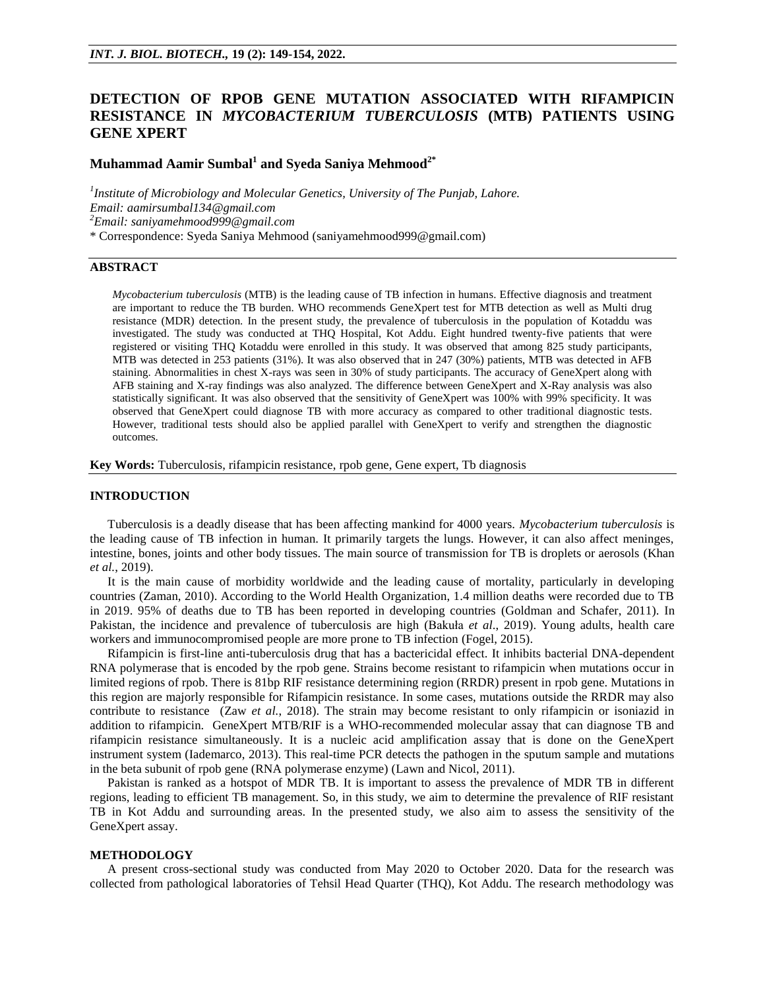# **DETECTION OF RPOB GENE MUTATION ASSOCIATED WITH RIFAMPICIN RESISTANCE IN** *MYCOBACTERIUM TUBERCULOSIS* **(MTB) PATIENTS USING GENE XPERT**

# **Muhammad Aamir Sumbal<sup>1</sup> and Syeda Saniya Mehmood2\***

<sup>1</sup> Institute of Microbiology and Molecular Genetics, University of The Punjab, Lahore. *Email[: aamirsumbal134@gmail.com](mailto:aamirsumbal134@gmail.com) <sup>2</sup>Email: [saniyamehmood999@gmail.com](mailto:saniyamehmood999@gmail.com)* \* Correspondence: Syeda Saniya Mehmood [\(saniyamehmood999@gmail.com\)](mailto:saniyamehmood999@gmail.com)

## **ABSTRACT**

*Mycobacterium tuberculosis* (MTB) is the leading cause of TB infection in humans. Effective diagnosis and treatment are important to reduce the TB burden. WHO recommends GeneXpert test for MTB detection as well as Multi drug resistance (MDR) detection. In the present study, the prevalence of tuberculosis in the population of Kotaddu was investigated. The study was conducted at THQ Hospital, Kot Addu. Eight hundred twenty-five patients that were registered or visiting THQ Kotaddu were enrolled in this study. It was observed that among 825 study participants, MTB was detected in 253 patients (31%). It was also observed that in 247 (30%) patients, MTB was detected in AFB staining. Abnormalities in chest X-rays was seen in 30% of study participants. The accuracy of GeneXpert along with AFB staining and X-ray findings was also analyzed. The difference between GeneXpert and X-Ray analysis was also statistically significant. It was also observed that the sensitivity of GeneXpert was 100% with 99% specificity. It was observed that GeneXpert could diagnose TB with more accuracy as compared to other traditional diagnostic tests. However, traditional tests should also be applied parallel with GeneXpert to verify and strengthen the diagnostic outcomes.

**Key Words:** Tuberculosis, rifampicin resistance, rpob gene, Gene expert, Tb diagnosis

## **INTRODUCTION**

Tuberculosis is a deadly disease that has been affecting mankind for 4000 years. *Mycobacterium tuberculosis* is the leading cause of TB infection in human. It primarily targets the lungs. However, it can also affect meninges, intestine, bones, joints and other body tissues. The main source of transmission for TB is droplets or aerosols (Khan *et al.*, 2019).

It is the main cause of morbidity worldwide and the leading cause of mortality, particularly in developing countries (Zaman, 2010). According to the World Health Organization, 1.4 million deaths were recorded due to TB in 2019. 95% of deaths due to TB has been reported in developing countries (Goldman and Schafer, 2011). In Pakistan, the incidence and prevalence of tuberculosis are high (Bakuła *et al*., 2019). Young adults, health care workers and immunocompromised people are more prone to TB infection (Fogel, 2015).

Rifampicin is first-line anti-tuberculosis drug that has a bactericidal effect. It inhibits bacterial DNA-dependent RNA polymerase that is encoded by the rpob gene. Strains become resistant to rifampicin when mutations occur in limited regions of rpob. There is 81bp RIF resistance determining region (RRDR) present in rpob gene. Mutations in this region are majorly responsible for Rifampicin resistance. In some cases, mutations outside the RRDR may also contribute to resistance (Zaw *et al.*, 2018). The strain may become resistant to only rifampicin or isoniazid in addition to rifampicin. GeneXpert MTB/RIF is a WHO-recommended molecular assay that can diagnose TB and rifampicin resistance simultaneously. It is a nucleic acid amplification assay that is done on the GeneXpert instrument system (Iademarco, 2013). This real-time PCR detects the pathogen in the sputum sample and mutations in the beta subunit of rpob gene (RNA polymerase enzyme) (Lawn and Nicol, 2011).

Pakistan is ranked as a hotspot of MDR TB. It is important to assess the prevalence of MDR TB in different regions, leading to efficient TB management. So, in this study, we aim to determine the prevalence of RIF resistant TB in Kot Addu and surrounding areas. In the presented study, we also aim to assess the sensitivity of the GeneXpert assay.

#### **METHODOLOGY**

A present cross-sectional study was conducted from May 2020 to October 2020. Data for the research was collected from pathological laboratories of Tehsil Head Quarter (THQ), Kot Addu. The research methodology was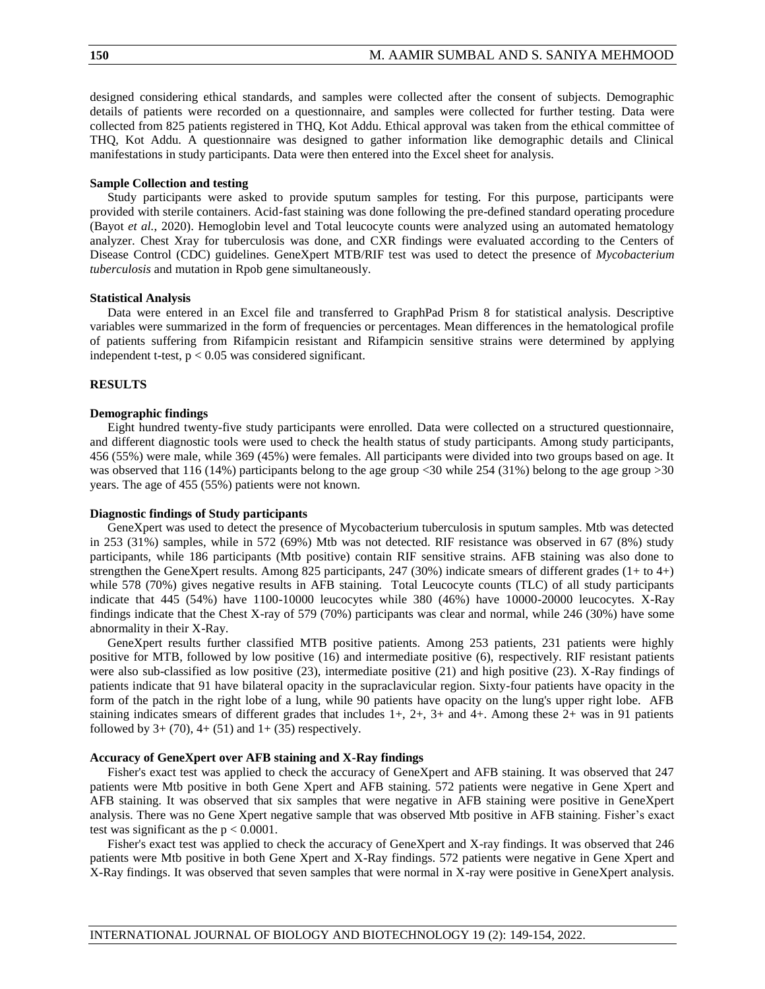designed considering ethical standards, and samples were collected after the consent of subjects. Demographic details of patients were recorded on a questionnaire, and samples were collected for further testing. Data were collected from 825 patients registered in THQ, Kot Addu. Ethical approval was taken from the ethical committee of THQ, Kot Addu. A questionnaire was designed to gather information like demographic details and Clinical manifestations in study participants. Data were then entered into the Excel sheet for analysis.

#### **Sample Collection and testing**

Study participants were asked to provide sputum samples for testing. For this purpose, participants were provided with sterile containers. Acid-fast staining was done following the pre-defined standard operating procedure (Bayot *et al.*, 2020). Hemoglobin level and Total leucocyte counts were analyzed using an automated hematology analyzer. Chest Xray for tuberculosis was done, and CXR findings were evaluated according to the Centers of Disease Control (CDC) guidelines. GeneXpert MTB/RIF test was used to detect the presence of *Mycobacterium tuberculosis* and mutation in Rpob gene simultaneously.

#### **Statistical Analysis**

Data were entered in an Excel file and transferred to GraphPad Prism 8 for statistical analysis. Descriptive variables were summarized in the form of frequencies or percentages. Mean differences in the hematological profile of patients suffering from Rifampicin resistant and Rifampicin sensitive strains were determined by applying independent t-test,  $p < 0.05$  was considered significant.

## **RESULTS**

## **Demographic findings**

Eight hundred twenty-five study participants were enrolled. Data were collected on a structured questionnaire, and different diagnostic tools were used to check the health status of study participants. Among study participants, 456 (55%) were male, while 369 (45%) were females. All participants were divided into two groups based on age. It was observed that 116 (14%) participants belong to the age group <30 while 254 (31%) belong to the age group  $>30$ years. The age of 455 (55%) patients were not known.

#### **Diagnostic findings of Study participants**

GeneXpert was used to detect the presence of Mycobacterium tuberculosis in sputum samples. Mtb was detected in 253 (31%) samples, while in 572 (69%) Mtb was not detected. RIF resistance was observed in 67 (8%) study participants, while 186 participants (Mtb positive) contain RIF sensitive strains. AFB staining was also done to strengthen the GeneXpert results. Among 825 participants, 247 (30%) indicate smears of different grades (1+ to 4+) while 578 (70%) gives negative results in AFB staining. Total Leucocyte counts (TLC) of all study participants indicate that 445 (54%) have 1100-10000 leucocytes while 380 (46%) have 10000-20000 leucocytes. X-Ray findings indicate that the Chest X-ray of 579 (70%) participants was clear and normal, while 246 (30%) have some abnormality in their X-Ray.

GeneXpert results further classified MTB positive patients. Among 253 patients, 231 patients were highly positive for MTB, followed by low positive (16) and intermediate positive (6), respectively. RIF resistant patients were also sub-classified as low positive (23), intermediate positive (21) and high positive (23). X-Ray findings of patients indicate that 91 have bilateral opacity in the supraclavicular region. Sixty-four patients have opacity in the form of the patch in the right lobe of a lung, while 90 patients have opacity on the lung's upper right lobe. AFB staining indicates smears of different grades that includes  $1+, 2+, 3+$  and  $4+.$  Among these  $2+$  was in 91 patients followed by  $3 + (70)$ ,  $4 + (51)$  and  $1 + (35)$  respectively.

## **Accuracy of GeneXpert over AFB staining and X-Ray findings**

Fisher's exact test was applied to check the accuracy of GeneXpert and AFB staining. It was observed that 247 patients were Mtb positive in both Gene Xpert and AFB staining. 572 patients were negative in Gene Xpert and AFB staining. It was observed that six samples that were negative in AFB staining were positive in GeneXpert analysis. There was no Gene Xpert negative sample that was observed Mtb positive in AFB staining. Fisher's exact test was significant as the  $p < 0.0001$ .

Fisher's exact test was applied to check the accuracy of GeneXpert and X-ray findings. It was observed that 246 patients were Mtb positive in both Gene Xpert and X-Ray findings. 572 patients were negative in Gene Xpert and X-Ray findings. It was observed that seven samples that were normal in X-ray were positive in GeneXpert analysis.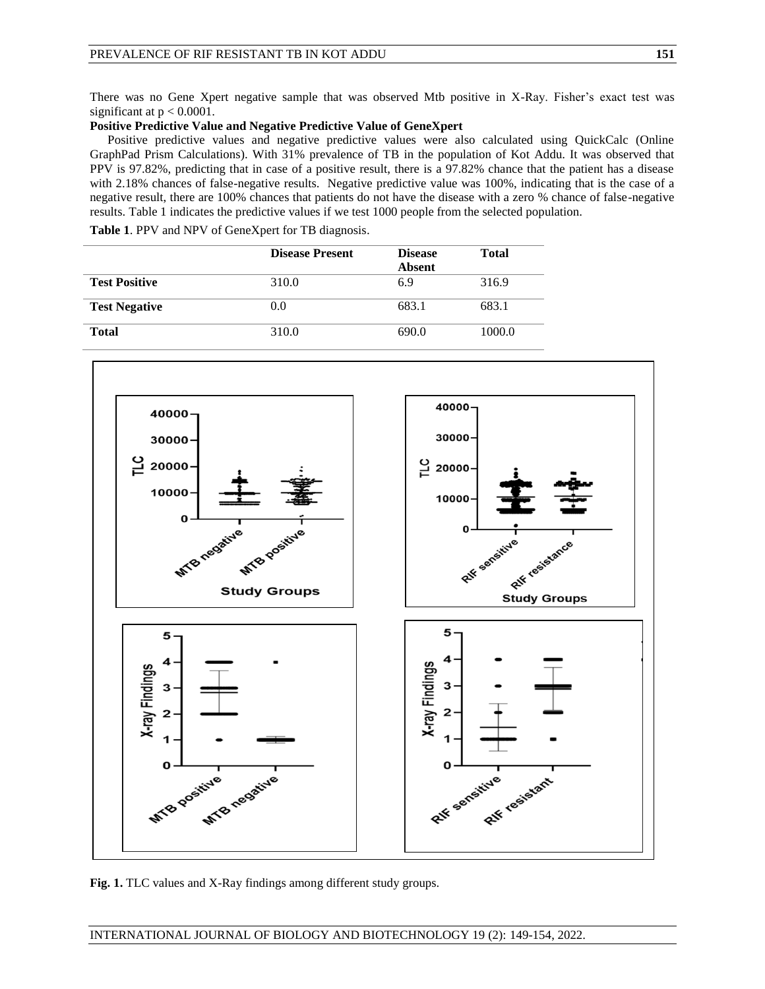There was no Gene Xpert negative sample that was observed Mtb positive in X-Ray. Fisher's exact test was significant at  $p < 0.0001$ .

# **Positive Predictive Value and Negative Predictive Value of GeneXpert**

Positive predictive values and negative predictive values were also calculated using QuickCalc (Online GraphPad Prism Calculations). With 31% prevalence of TB in the population of Kot Addu. It was observed that PPV is 97.82%, predicting that in case of a positive result, there is a 97.82% chance that the patient has a disease with 2.18% chances of false-negative results. Negative predictive value was 100%, indicating that is the case of a negative result, there are 100% chances that patients do not have the disease with a zero % chance of false-negative results. Table 1 indicates the predictive values if we test 1000 people from the selected population.

**Table 1**. PPV and NPV of GeneXpert for TB diagnosis.

|                      | <b>Disease Present</b> | <b>Disease</b><br><b>Absent</b> | <b>Total</b> |
|----------------------|------------------------|---------------------------------|--------------|
| <b>Test Positive</b> | 310.0                  | 6.9                             | 316.9        |
| <b>Test Negative</b> | (0.0)                  | 683.1                           | 683.1        |
| <b>Total</b>         | 310.0                  | 690.0                           | 1000.0       |



**Fig. 1.** TLC values and X-Ray findings among different study groups.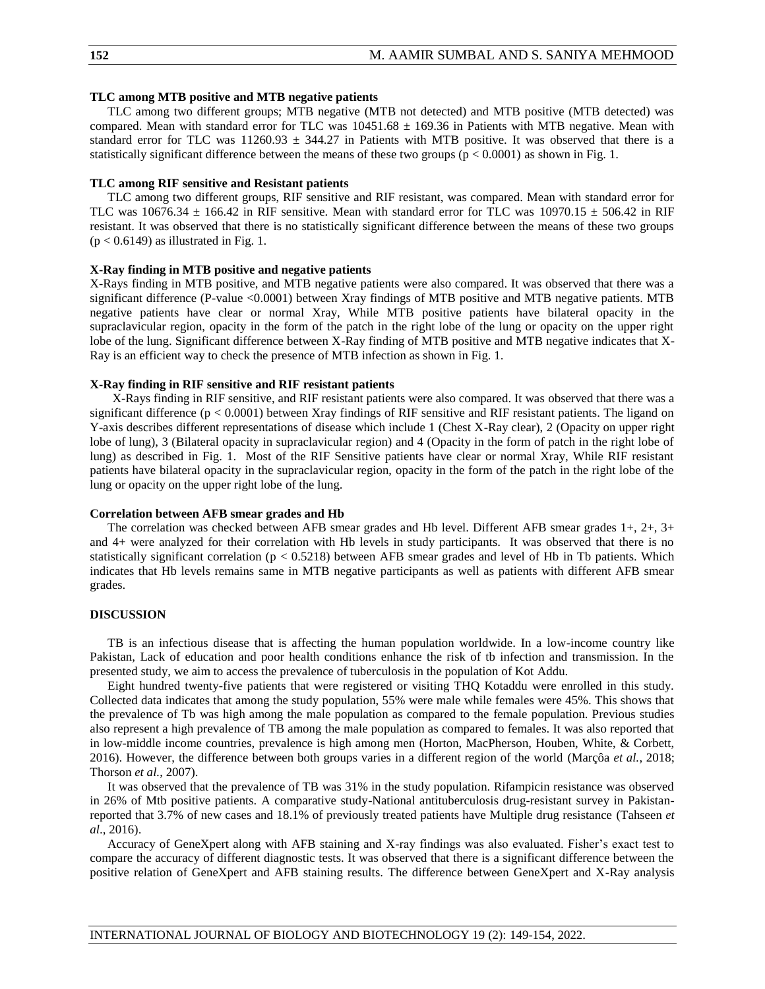## **TLC among MTB positive and MTB negative patients**

TLC among two different groups; MTB negative (MTB not detected) and MTB positive (MTB detected) was compared. Mean with standard error for TLC was  $10451.68 \pm 169.36$  in Patients with MTB negative. Mean with standard error for TLC was  $11260.93 \pm 344.27$  in Patients with MTB positive. It was observed that there is a statistically significant difference between the means of these two groups ( $p < 0.0001$ ) as shown in Fig. 1.

## **TLC among RIF sensitive and Resistant patients**

TLC among two different groups, RIF sensitive and RIF resistant, was compared. Mean with standard error for TLC was  $10676.34 \pm 166.42$  in RIF sensitive. Mean with standard error for TLC was  $10970.15 \pm 506.42$  in RIF resistant. It was observed that there is no statistically significant difference between the means of these two groups  $(p < 0.6149)$  as illustrated in Fig. 1.

## **X-Ray finding in MTB positive and negative patients**

X-Rays finding in MTB positive, and MTB negative patients were also compared. It was observed that there was a significant difference (P-value <0.0001) between Xray findings of MTB positive and MTB negative patients. MTB negative patients have clear or normal Xray, While MTB positive patients have bilateral opacity in the supraclavicular region, opacity in the form of the patch in the right lobe of the lung or opacity on the upper right lobe of the lung. Significant difference between X-Ray finding of MTB positive and MTB negative indicates that X-Ray is an efficient way to check the presence of MTB infection as shown in Fig. 1.

## **X-Ray finding in RIF sensitive and RIF resistant patients**

X-Rays finding in RIF sensitive, and RIF resistant patients were also compared. It was observed that there was a significant difference  $(p < 0.0001)$  between Xray findings of RIF sensitive and RIF resistant patients. The ligand on Y-axis describes different representations of disease which include 1 (Chest X-Ray clear), 2 (Opacity on upper right lobe of lung), 3 (Bilateral opacity in supraclavicular region) and 4 (Opacity in the form of patch in the right lobe of lung) as described in Fig. 1. Most of the RIF Sensitive patients have clear or normal Xray, While RIF resistant patients have bilateral opacity in the supraclavicular region, opacity in the form of the patch in the right lobe of the lung or opacity on the upper right lobe of the lung.

#### **Correlation between AFB smear grades and Hb**

The correlation was checked between AFB smear grades and Hb level. Different AFB smear grades 1+, 2+, 3+ and 4+ were analyzed for their correlation with Hb levels in study participants. It was observed that there is no statistically significant correlation ( $p < 0.5218$ ) between AFB smear grades and level of Hb in Tb patients. Which indicates that Hb levels remains same in MTB negative participants as well as patients with different AFB smear grades.

#### **DISCUSSION**

TB is an infectious disease that is affecting the human population worldwide. In a low-income country like Pakistan, Lack of education and poor health conditions enhance the risk of tb infection and transmission. In the presented study, we aim to access the prevalence of tuberculosis in the population of Kot Addu.

Eight hundred twenty-five patients that were registered or visiting THQ Kotaddu were enrolled in this study. Collected data indicates that among the study population, 55% were male while females were 45%. This shows that the prevalence of Tb was high among the male population as compared to the female population. Previous studies also represent a high prevalence of TB among the male population as compared to females. It was also reported that in low-middle income countries, prevalence is high among men (Horton, MacPherson, Houben, White, & Corbett, 2016). However, the difference between both groups varies in a different region of the world (Marçôa *et al.*, 2018; Thorson *et al.*, 2007).

It was observed that the prevalence of TB was 31% in the study population. Rifampicin resistance was observed in 26% of Mtb positive patients. A comparative study-National antituberculosis drug-resistant survey in Pakistanreported that 3.7% of new cases and 18.1% of previously treated patients have Multiple drug resistance (Tahseen *et al*., 2016).

Accuracy of GeneXpert along with AFB staining and X-ray findings was also evaluated. Fisher's exact test to compare the accuracy of different diagnostic tests. It was observed that there is a significant difference between the positive relation of GeneXpert and AFB staining results. The difference between GeneXpert and X-Ray analysis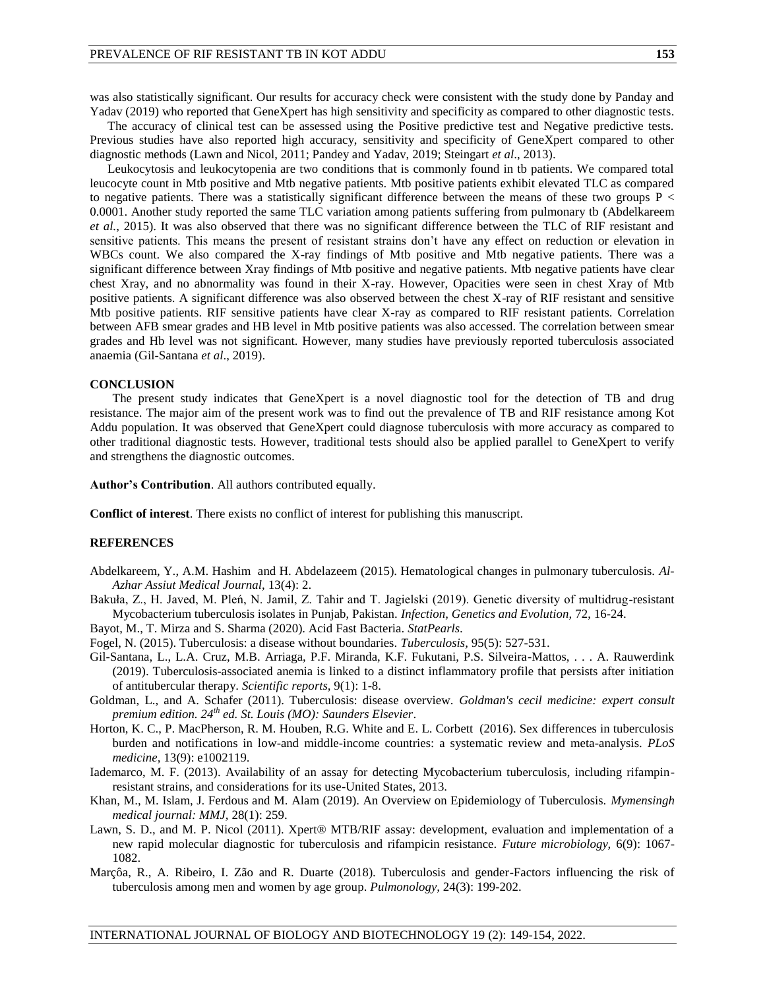was also statistically significant. Our results for accuracy check were consistent with the study done by Panday and Yadav (2019) who reported that GeneXpert has high sensitivity and specificity as compared to other diagnostic tests.

The accuracy of clinical test can be assessed using the Positive predictive test and Negative predictive tests. Previous studies have also reported high accuracy, sensitivity and specificity of GeneXpert compared to other diagnostic methods (Lawn and Nicol, 2011; Pandey and Yadav, 2019; Steingart *et al*., 2013).

Leukocytosis and leukocytopenia are two conditions that is commonly found in tb patients. We compared total leucocyte count in Mtb positive and Mtb negative patients. Mtb positive patients exhibit elevated TLC as compared to negative patients. There was a statistically significant difference between the means of these two groups  $P \lt C$ 0.0001. Another study reported the same TLC variation among patients suffering from pulmonary tb (Abdelkareem *et al.*, 2015). It was also observed that there was no significant difference between the TLC of RIF resistant and sensitive patients. This means the present of resistant strains don't have any effect on reduction or elevation in WBCs count. We also compared the X-ray findings of Mtb positive and Mtb negative patients. There was a significant difference between Xray findings of Mtb positive and negative patients. Mtb negative patients have clear chest Xray, and no abnormality was found in their X-ray. However, Opacities were seen in chest Xray of Mtb positive patients. A significant difference was also observed between the chest X-ray of RIF resistant and sensitive Mtb positive patients. RIF sensitive patients have clear X-ray as compared to RIF resistant patients. Correlation between AFB smear grades and HB level in Mtb positive patients was also accessed. The correlation between smear grades and Hb level was not significant. However, many studies have previously reported tuberculosis associated anaemia (Gil-Santana *et al*., 2019).

#### **CONCLUSION**

The present study indicates that GeneXpert is a novel diagnostic tool for the detection of TB and drug resistance. The major aim of the present work was to find out the prevalence of TB and RIF resistance among Kot Addu population. It was observed that GeneXpert could diagnose tuberculosis with more accuracy as compared to other traditional diagnostic tests. However, traditional tests should also be applied parallel to GeneXpert to verify and strengthens the diagnostic outcomes.

**Author's Contribution**. All authors contributed equally.

**Conflict of interest**. There exists no conflict of interest for publishing this manuscript.

## **REFERENCES**

- Abdelkareem, Y., A.M. Hashim and H. Abdelazeem (2015). Hematological changes in pulmonary tuberculosis. *Al-Azhar Assiut Medical Journal,* 13(4): 2.
- Bakuła, Z., H. Javed, M. Pleń, N. Jamil, Z. Tahir and T. Jagielski (2019). Genetic diversity of multidrug-resistant Mycobacterium tuberculosis isolates in Punjab, Pakistan. *Infection, Genetics and Evolution,* 72, 16-24.
- Bayot, M., T. Mirza and S. Sharma (2020). Acid Fast Bacteria. *StatPearls*.
- Fogel, N. (2015). Tuberculosis: a disease without boundaries. *Tuberculosis,* 95(5): 527-531.
- Gil-Santana, L., L.A. Cruz, M.B. Arriaga, P.F. Miranda, K.F. Fukutani, P.S. Silveira-Mattos, . . . A. Rauwerdink (2019). Tuberculosis-associated anemia is linked to a distinct inflammatory profile that persists after initiation of antitubercular therapy. *Scientific reports,* 9(1): 1-8.
- Goldman, L., and A. Schafer (2011). Tuberculosis: disease overview. *Goldman's cecil medicine: expert consult premium edition. 24th ed. St. Louis (MO): Saunders Elsevier*.
- Horton, K. C., P. MacPherson, R. M. Houben, R.G. White and E. L. Corbett (2016). Sex differences in tuberculosis burden and notifications in low-and middle-income countries: a systematic review and meta-analysis. *PLoS medicine,* 13(9): e1002119.
- Iademarco, M. F. (2013). Availability of an assay for detecting Mycobacterium tuberculosis, including rifampinresistant strains, and considerations for its use-United States, 2013.
- Khan, M., M. Islam, J. Ferdous and M. Alam (2019). An Overview on Epidemiology of Tuberculosis. *Mymensingh medical journal: MMJ,* 28(1): 259.
- Lawn, S. D., and M. P. Nicol (2011). Xpert® MTB/RIF assay: development, evaluation and implementation of a new rapid molecular diagnostic for tuberculosis and rifampicin resistance. *Future microbiology,* 6(9): 1067- 1082.
- Marçôa, R., A. Ribeiro, I. Zão and R. Duarte (2018). Tuberculosis and gender-Factors influencing the risk of tuberculosis among men and women by age group. *Pulmonology,* 24(3): 199-202.